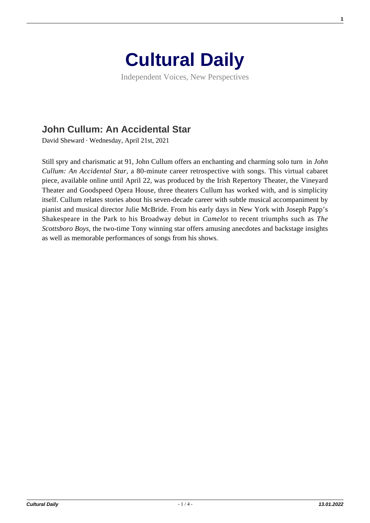

Independent Voices, New Perspectives

## **[John Cullum: An Accidental Star](https://culturaldaily.com/john-cullum-an-accidental-star/)**

David Sheward · Wednesday, April 21st, 2021

Still spry and charismatic at 91, John Cullum offers an enchanting and charming solo turn in *John Cullum: An Accidental Star*, a 80-minute career retrospective with songs. This virtual cabaret piece, available online until April 22, was produced by the Irish Repertory Theater, the Vineyard Theater and Goodspeed Opera House, three theaters Cullum has worked with, and is simplicity itself. Cullum relates stories about his seven-decade career with subtle musical accompaniment by pianist and musical director Julie McBride. From his early days in New York with Joseph Papp's Shakespeare in the Park to his Broadway debut in *Camelot* to recent triumphs such as *The Scottsboro Boys*, the two-time Tony winning star offers amusing anecdotes and backstage insights as well as memorable performances of songs from his shows.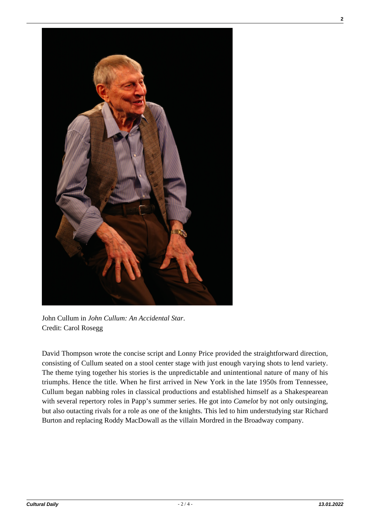

John Cullum in *John Cullum: An Accidental Star*. Credit: Carol Rosegg

David Thompson wrote the concise script and Lonny Price provided the straightforward direction, consisting of Cullum seated on a stool center stage with just enough varying shots to lend variety. The theme tying together his stories is the unpredictable and unintentional nature of many of his triumphs. Hence the title. When he first arrived in New York in the late 1950s from Tennessee, Cullum began nabbing roles in classical productions and established himself as a Shakespearean with several repertory roles in Papp's summer series. He got into *Camelot* by not only outsinging, but also outacting rivals for a role as one of the knights. This led to him understudying star Richard Burton and replacing Roddy MacDowall as the villain Mordred in the Broadway company.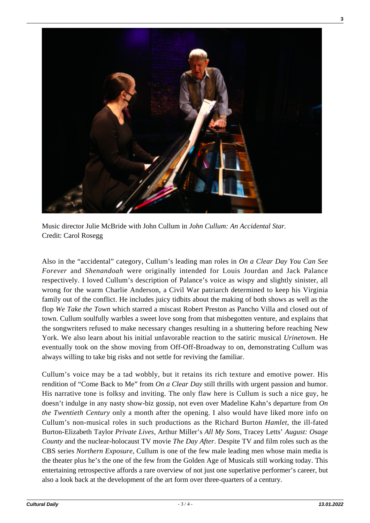

Music director Julie McBride with John Cullum in *John Cullum: An Accidental Star.* Credit: Carol Rosegg

Also in the "accidental" category, Cullum's leading man roles in *On a Clear Day You Can See Forever* and *Shenandoah* were originally intended for Louis Jourdan and Jack Palance respectively. I loved Cullum's description of Palance's voice as wispy and slightly sinister, all wrong for the warm Charlie Anderson, a Civil War patriarch determined to keep his Virginia family out of the conflict. He includes juicy tidbits about the making of both shows as well as the flop *We Take the Town* which starred a miscast Robert Preston as Pancho Villa and closed out of town. Cullum soulfully warbles a sweet love song from that misbegotten venture, and explains that the songwriters refused to make necessary changes resulting in a shuttering before reaching New York. We also learn about his initial unfavorable reaction to the satiric musical *Urinetown*. He eventually took on the show moving from Off-Off-Broadway to on, demonstrating Cullum was always willing to take big risks and not settle for reviving the familiar.

Cullum's voice may be a tad wobbly, but it retains its rich texture and emotive power. His rendition of "Come Back to Me" from *On a Clear Day* still thrills with urgent passion and humor. His narrative tone is folksy and inviting. The only flaw here is Cullum is such a nice guy, he doesn't indulge in any nasty show-biz gossip, not even over Madeline Kahn's departure from *On the Twentieth Century* only a month after the opening. I also would have liked more info on Cullum's non-musical roles in such productions as the Richard Burton *Hamlet*, the ill-fated Burton-Elizabeth Taylor *Private Lives,* Arthur Miller's *All My Sons*, Tracey Letts' *August: Osage County* and the nuclear-holocaust TV movie *The Day After*. Despite TV and film roles such as the CBS series *Northern Exposure,* Cullum is one of the few male leading men whose main media is the theater plus he's the one of the few from the Golden Age of Musicals still working today. This entertaining retrospective affords a rare overview of not just one superlative performer's career, but also a look back at the development of the art form over three-quarters of a century.